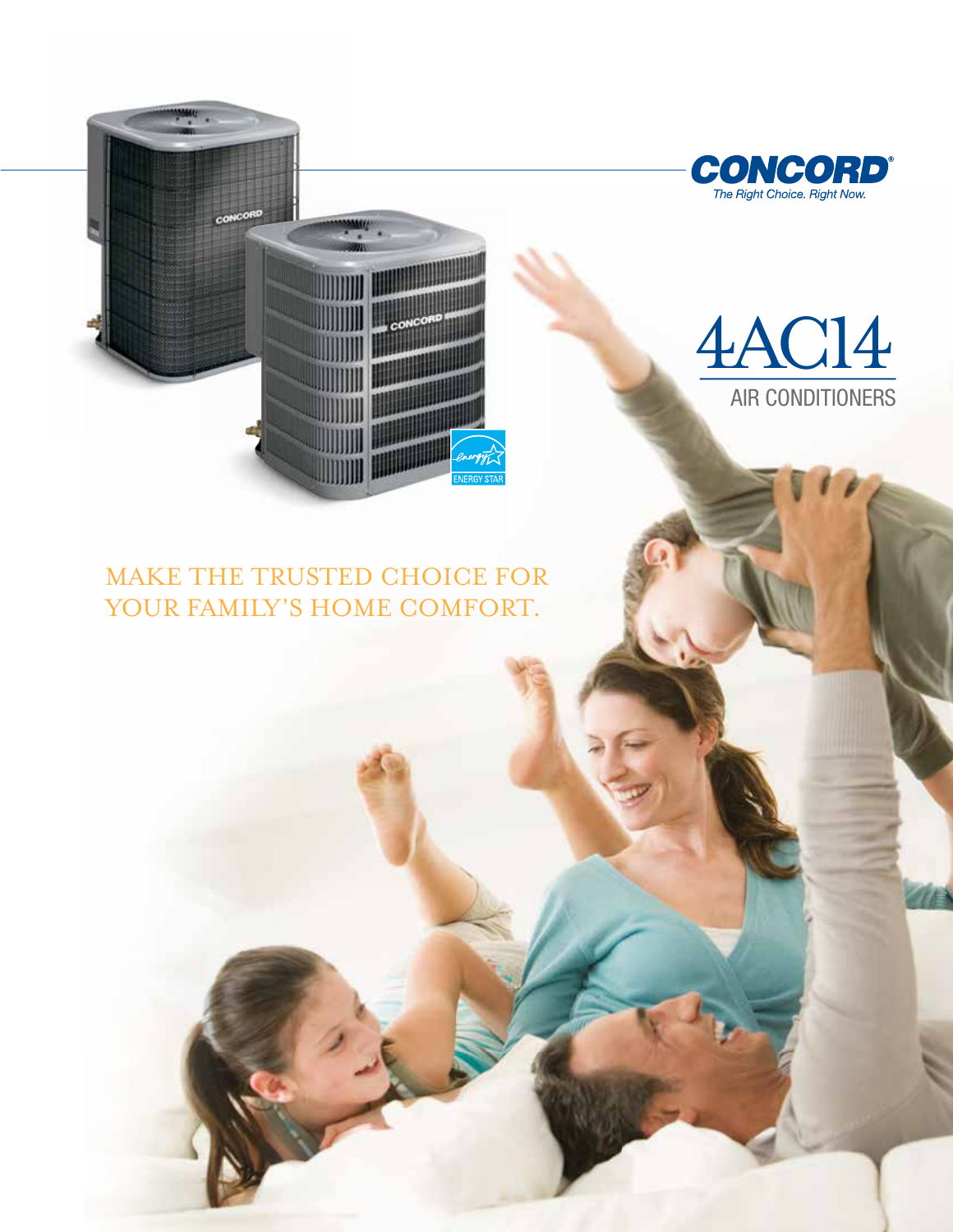

# 4AC14 AIR CONDITIONERS

### make the trusted choice for YOUR FAMILY'S HOME COMFORT.

ⅢⅢⅢ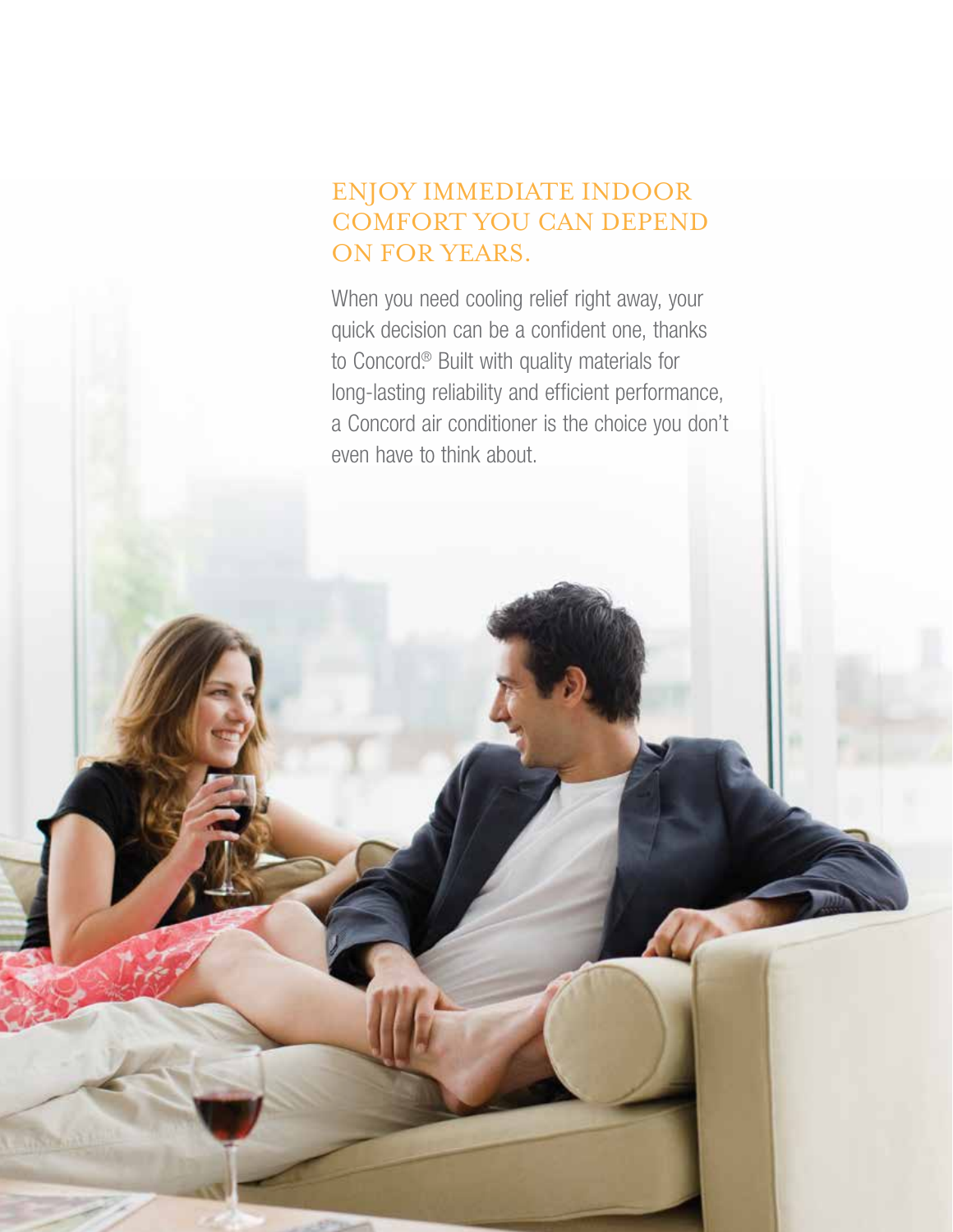## Enjoy immediate indoor comfort you can depend ON FOR YEARS.

When you need cooling relief right away, your quick decision can be a confident one, thanks to Concord.® Built with quality materials for long-lasting reliability and efficient performance, a Concord air conditioner is the choice you don't even have to think about.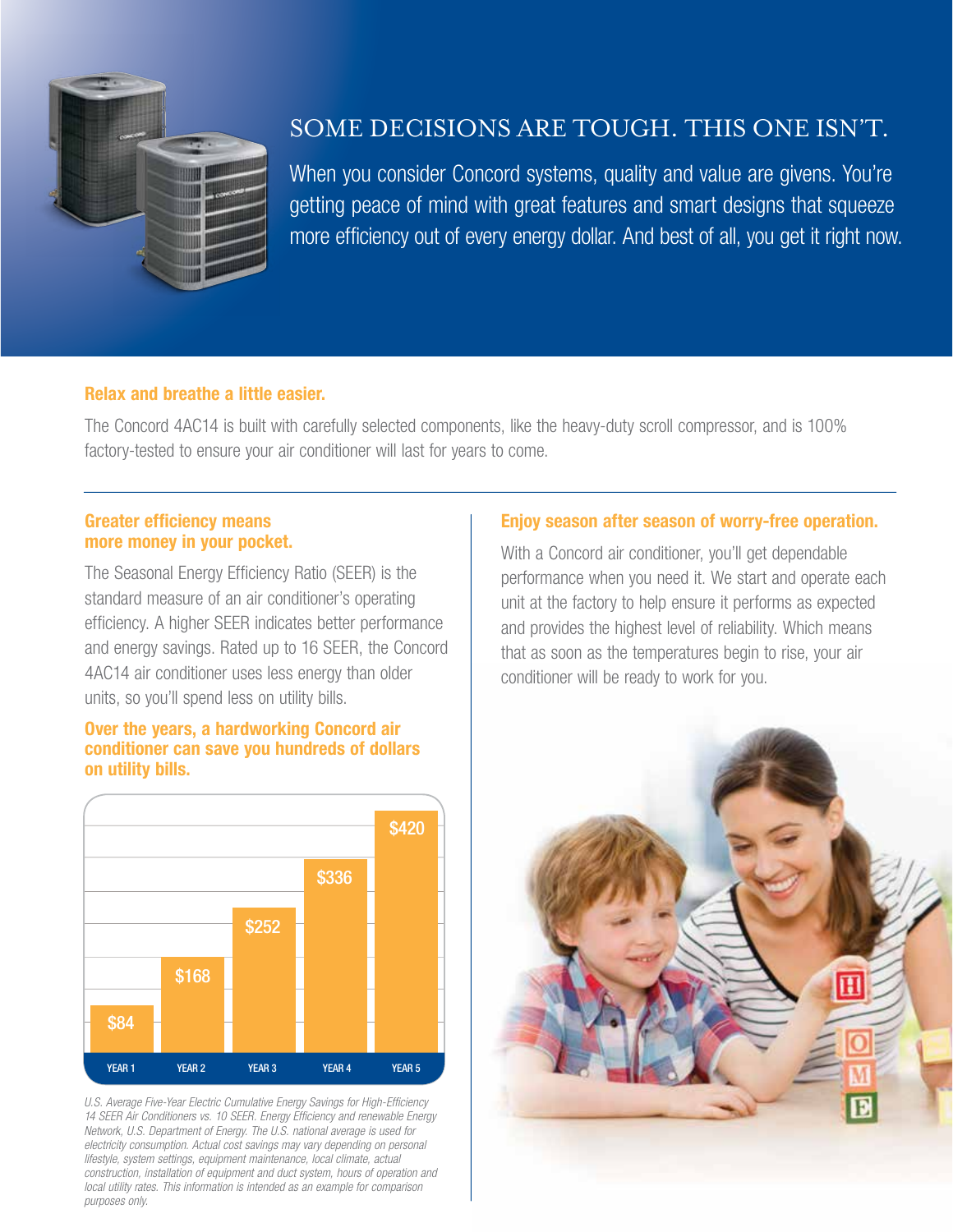

### Some decisions are tough. This one isn't.

When you consider Concord systems, quality and value are givens. You're getting peace of mind with great features and smart designs that squeeze more efficiency out of every energy dollar. And best of all, you get it right now.

#### Relax and breathe a little easier.

The Concord 4AC14 is built with carefully selected components, like the heavy-duty scroll compressor, and is 100% factory-tested to ensure your air conditioner will last for years to come.

#### Greater efficiency means more money in your pocket.

The Seasonal Energy Efficiency Ratio (SEER) is the standard measure of an air conditioner's operating efficiency. A higher SEER indicates better performance and energy savings. Rated up to 16 SEER, the Concord 4AC14 air conditioner uses less energy than older units, so you'll spend less on utility bills.

#### Over the years, a hardworking Concord air conditioner can save you hundreds of dollars on utility bills.



*U.S. Average Five-Year Electric Cumulative Energy Savings for High-Efficiency 14 SEER Air Conditioners vs. 10 SEER. Energy Efficiency and renewable Energy Network, U.S. Department of Energy. The U.S. national average is used for electricity consumption. Actual cost savings may vary depending on personal lifestyle, system settings, equipment maintenance, local climate, actual construction, installation of equipment and duct system, hours of operation and local utility rates. This information is intended as an example for comparison purposes only.*

#### Enjoy season after season of worry-free operation.

With a Concord air conditioner, you'll get dependable performance when you need it. We start and operate each unit at the factory to help ensure it performs as expected and provides the highest level of reliability. Which means that as soon as the temperatures begin to rise, your air conditioner will be ready to work for you.